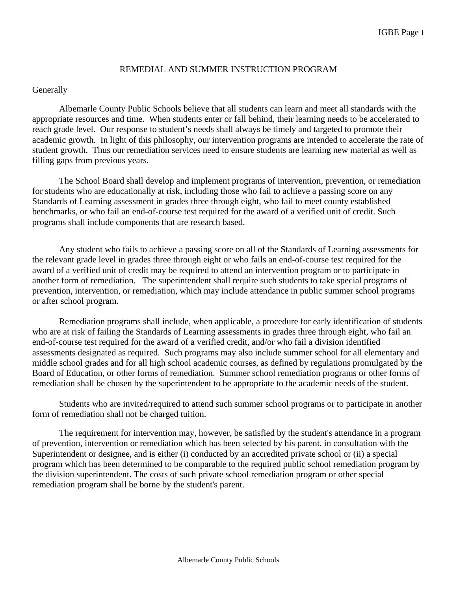# REMEDIAL AND SUMMER INSTRUCTION PROGRAM

# **Generally**

 Albemarle County Public Schools believe that all students can learn and meet all standards with the appropriate resources and time. When students enter or fall behind, their learning needs to be accelerated to reach grade level. Our response to student's needs shall always be timely and targeted to promote their academic growth. In light of this philosophy, our intervention programs are intended to accelerate the rate of student growth. Thus our remediation services need to ensure students are learning new material as well as filling gaps from previous years.

The School Board shall develop and implement programs of intervention, prevention, or remediation for students who are educationally at risk, including those who fail to achieve a passing score on any Standards of Learning assessment in grades three through eight, who fail to meet county established benchmarks, or who fail an end-of-course test required for the award of a verified unit of credit. Such programs shall include components that are research based.

 Any student who fails to achieve a passing score on all of the Standards of Learning assessments for the relevant grade level in grades three through eight or who fails an end-of-course test required for the award of a verified unit of credit may be required to attend an intervention program or to participate in another form of remediation. The superintendent shall require such students to take special programs of prevention, intervention, or remediation, which may include attendance in public summer school programs or after school program.

 Remediation programs shall include, when applicable, a procedure for early identification of students who are at risk of failing the Standards of Learning assessments in grades three through eight, who fail an end-of-course test required for the award of a verified credit, and/or who fail a division identified assessments designated as required. Such programs may also include summer school for all elementary and middle school grades and for all high school academic courses, as defined by regulations promulgated by the Board of Education, or other forms of remediation. Summer school remediation programs or other forms of remediation shall be chosen by the superintendent to be appropriate to the academic needs of the student.

 Students who are invited/required to attend such summer school programs or to participate in another form of remediation shall not be charged tuition.

 The requirement for intervention may, however, be satisfied by the student's attendance in a program of prevention, intervention or remediation which has been selected by his parent, in consultation with the Superintendent or designee, and is either (i) conducted by an accredited private school or (ii) a special program which has been determined to be comparable to the required public school remediation program by the division superintendent. The costs of such private school remediation program or other special remediation program shall be borne by the student's parent.